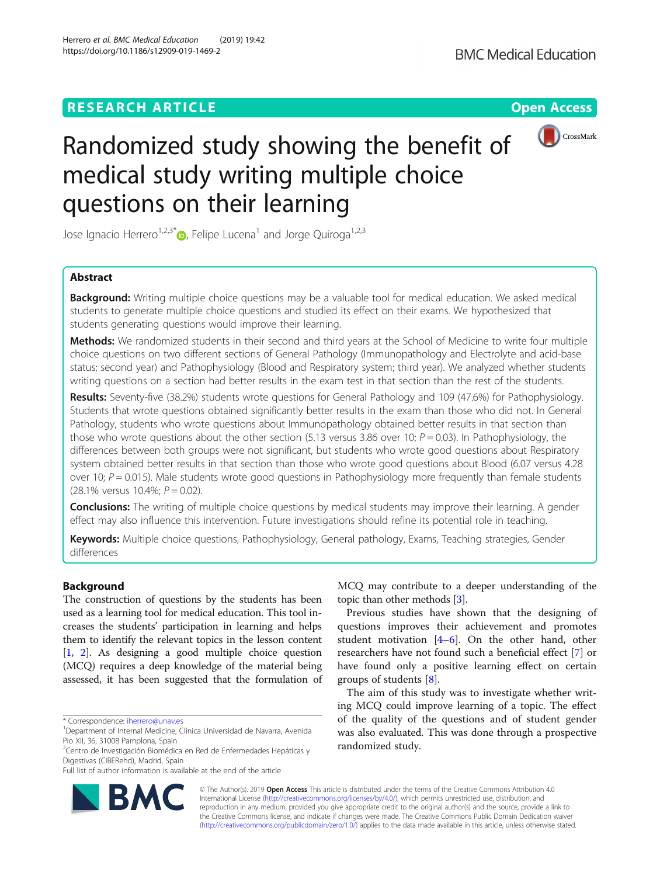# **RESEARCH ARTICLE Example 2018 12:30 The Open Access**



# Randomized study showing the benefit of medical study writing multiple choice questions on their learning

Jose Ignacio Herrero<sup>1,2,3[\\*](http://orcid.org/0000-0002-9076-6717)</sup> $\bullet$ , Felipe Lucena<sup>1</sup> and Jorge Quiroga<sup>1,2,3</sup>

# Abstract

**Background:** Writing multiple choice questions may be a valuable tool for medical education. We asked medical students to generate multiple choice questions and studied its effect on their exams. We hypothesized that students generating questions would improve their learning.

Methods: We randomized students in their second and third years at the School of Medicine to write four multiple choice questions on two different sections of General Pathology (Immunopathology and Electrolyte and acid-base status; second year) and Pathophysiology (Blood and Respiratory system; third year). We analyzed whether students writing questions on a section had better results in the exam test in that section than the rest of the students.

Results: Seventy-five (38.2%) students wrote questions for General Pathology and 109 (47.6%) for Pathophysiology. Students that wrote questions obtained significantly better results in the exam than those who did not. In General Pathology, students who wrote questions about Immunopathology obtained better results in that section than those who wrote questions about the other section (5.13 versus 3.86 over 10;  $P = 0.03$ ). In Pathophysiology, the differences between both groups were not significant, but students who wrote good questions about Respiratory system obtained better results in that section than those who wrote good questions about Blood (6.07 versus 4.28 over 10;  $P = 0.015$ ). Male students wrote good questions in Pathophysiology more frequently than female students  $(28.1\%$  versus 10.4%;  $P = 0.02$ ).

**Conclusions:** The writing of multiple choice questions by medical students may improve their learning. A gender effect may also influence this intervention. Future investigations should refine its potential role in teaching.

Keywords: Multiple choice questions, Pathophysiology, General pathology, Exams, Teaching strategies, Gender differences

# Background

The construction of questions by the students has been used as a learning tool for medical education. This tool increases the students' participation in learning and helps them to identify the relevant topics in the lesson content [[1,](#page-4-0) [2](#page-4-0)]. As designing a good multiple choice question (MCQ) requires a deep knowledge of the material being assessed, it has been suggested that the formulation of

<sup>2</sup>Centro de Investigación Biomédica en Red de Enfermedades Hepáticas y Digestivas (CIBERehd), Madrid, Spain



Previous studies have shown that the designing of questions improves their achievement and promotes student motivation [[4](#page-4-0)–[6\]](#page-4-0). On the other hand, other researchers have not found such a beneficial effect [[7\]](#page-4-0) or have found only a positive learning effect on certain groups of students [[8\]](#page-4-0).

The aim of this study was to investigate whether writing MCQ could improve learning of a topic. The effect of the quality of the questions and of student gender was also evaluated. This was done through a prospective randomized study.



© The Author(s). 2019 **Open Access** This article is distributed under the terms of the Creative Commons Attribution 4.0 International License [\(http://creativecommons.org/licenses/by/4.0/](http://creativecommons.org/licenses/by/4.0/)), which permits unrestricted use, distribution, and reproduction in any medium, provided you give appropriate credit to the original author(s) and the source, provide a link to the Creative Commons license, and indicate if changes were made. The Creative Commons Public Domain Dedication waiver [\(http://creativecommons.org/publicdomain/zero/1.0/](http://creativecommons.org/publicdomain/zero/1.0/)) applies to the data made available in this article, unless otherwise stated.

<sup>\*</sup> Correspondence: [iherrero@unav.es](mailto:iherrero@unav.es) <sup>1</sup>

<sup>&</sup>lt;sup>1</sup> Department of Internal Medicine, Clínica Universidad de Navarra, Avenida Pío XII, 36, 31008 Pamplona, Spain

Full list of author information is available at the end of the article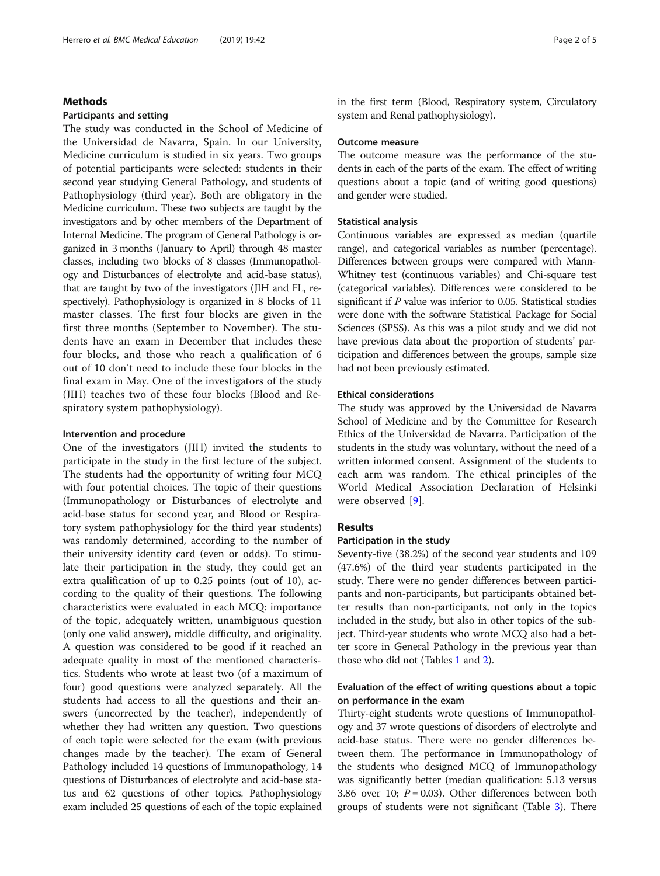#### Herrero et al. BMC Medical Education (2019) 19:42 Page 2 of 5

# Methods

# Participants and setting

The study was conducted in the School of Medicine of the Universidad de Navarra, Spain. In our University, Medicine curriculum is studied in six years. Two groups of potential participants were selected: students in their second year studying General Pathology, and students of Pathophysiology (third year). Both are obligatory in the Medicine curriculum. These two subjects are taught by the investigators and by other members of the Department of Internal Medicine. The program of General Pathology is organized in 3 months (January to April) through 48 master classes, including two blocks of 8 classes (Immunopathology and Disturbances of electrolyte and acid-base status), that are taught by two of the investigators (JIH and FL, respectively). Pathophysiology is organized in 8 blocks of 11 master classes. The first four blocks are given in the first three months (September to November). The students have an exam in December that includes these four blocks, and those who reach a qualification of 6 out of 10 don't need to include these four blocks in the final exam in May. One of the investigators of the study (JIH) teaches two of these four blocks (Blood and Respiratory system pathophysiology).

# Intervention and procedure

One of the investigators (JIH) invited the students to participate in the study in the first lecture of the subject. The students had the opportunity of writing four MCQ with four potential choices. The topic of their questions (Immunopathology or Disturbances of electrolyte and acid-base status for second year, and Blood or Respiratory system pathophysiology for the third year students) was randomly determined, according to the number of their university identity card (even or odds). To stimulate their participation in the study, they could get an extra qualification of up to 0.25 points (out of 10), according to the quality of their questions. The following characteristics were evaluated in each MCQ: importance of the topic, adequately written, unambiguous question (only one valid answer), middle difficulty, and originality. A question was considered to be good if it reached an adequate quality in most of the mentioned characteristics. Students who wrote at least two (of a maximum of four) good questions were analyzed separately. All the students had access to all the questions and their answers (uncorrected by the teacher), independently of whether they had written any question. Two questions of each topic were selected for the exam (with previous changes made by the teacher). The exam of General Pathology included 14 questions of Immunopathology, 14 questions of Disturbances of electrolyte and acid-base status and 62 questions of other topics. Pathophysiology exam included 25 questions of each of the topic explained

in the first term (Blood, Respiratory system, Circulatory system and Renal pathophysiology).

#### Outcome measure

The outcome measure was the performance of the students in each of the parts of the exam. The effect of writing questions about a topic (and of writing good questions) and gender were studied.

# Statistical analysis

Continuous variables are expressed as median (quartile range), and categorical variables as number (percentage). Differences between groups were compared with Mann-Whitney test (continuous variables) and Chi-square test (categorical variables). Differences were considered to be significant if P value was inferior to 0.05. Statistical studies were done with the software Statistical Package for Social Sciences (SPSS). As this was a pilot study and we did not have previous data about the proportion of students' participation and differences between the groups, sample size had not been previously estimated.

### Ethical considerations

The study was approved by the Universidad de Navarra School of Medicine and by the Committee for Research Ethics of the Universidad de Navarra. Participation of the students in the study was voluntary, without the need of a written informed consent. Assignment of the students to each arm was random. The ethical principles of the World Medical Association Declaration of Helsinki were observed [[9\]](#page-4-0).

# Results

# Participation in the study

Seventy-five (38.2%) of the second year students and 109 (47.6%) of the third year students participated in the study. There were no gender differences between participants and non-participants, but participants obtained better results than non-participants, not only in the topics included in the study, but also in other topics of the subject. Third-year students who wrote MCQ also had a better score in General Pathology in the previous year than those who did not (Tables [1](#page-2-0) and [2\)](#page-2-0).

# Evaluation of the effect of writing questions about a topic on performance in the exam

Thirty-eight students wrote questions of Immunopathology and 37 wrote questions of disorders of electrolyte and acid-base status. There were no gender differences between them. The performance in Immunopathology of the students who designed MCQ of Immunopathology was significantly better (median qualification: 5.13 versus 3.86 over 10;  $P = 0.03$ ). Other differences between both groups of students were not significant (Table [3](#page-2-0)). There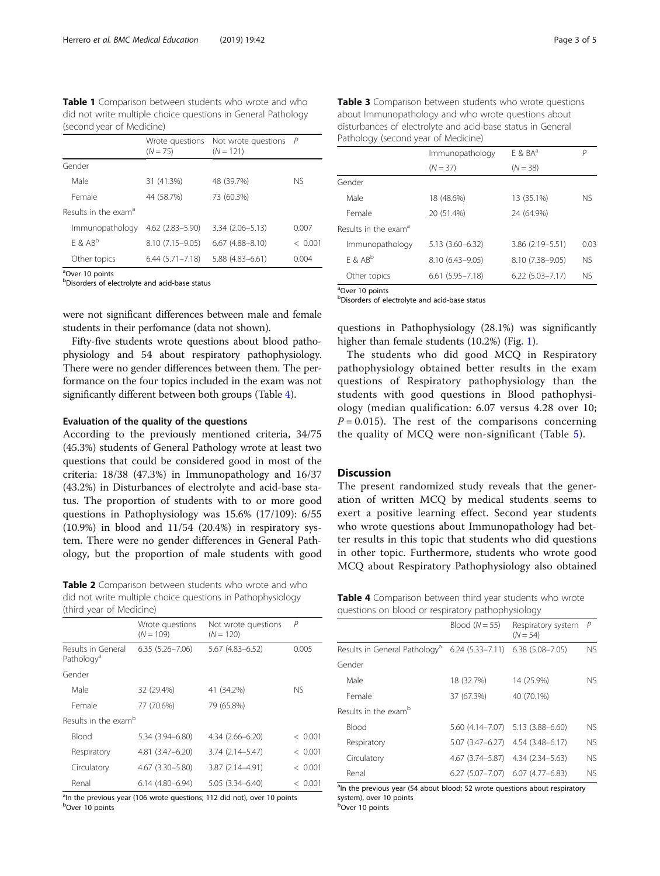<span id="page-2-0"></span>Table 1 Comparison between students who wrote and who did not write multiple choice questions in General Pathology (second year of Medicine)

|                                  | $(N = 75)$          | Wrote questions Not wrote questions $P$<br>$(N = 121)$ |         |
|----------------------------------|---------------------|--------------------------------------------------------|---------|
| Gender                           |                     |                                                        |         |
| Male                             | 31 (41.3%)          | 48 (39.7%)                                             | NS.     |
| Female                           | 44 (58.7%)          | 73 (60.3%)                                             |         |
| Results in the exam <sup>a</sup> |                     |                                                        |         |
| Immunopathology                  | $4.62(2.83 - 5.90)$ | $3.34(2.06 - 5.13)$                                    | 0.007   |
| $F$ & AB <sup>b</sup>            | $8.10(7.15 - 9.05)$ | $6.67(4.88 - 8.10)$                                    | < 0.001 |
| Other topics                     | $6.44(5.71 - 7.18)$ | $5.88(4.83 - 6.61)$                                    | 0.004   |

<sup>a</sup>Over 10 points

b Disorders of electrolyte and acid-base status

were not significant differences between male and female students in their perfomance (data not shown).

Fifty-five students wrote questions about blood pathophysiology and 54 about respiratory pathophysiology. There were no gender differences between them. The performance on the four topics included in the exam was not significantly different between both groups (Table 4).

# Evaluation of the quality of the questions

According to the previously mentioned criteria, 34/75 (45.3%) students of General Pathology wrote at least two questions that could be considered good in most of the criteria: 18/38 (47.3%) in Immunopathology and 16/37 (43.2%) in Disturbances of electrolyte and acid-base status. The proportion of students with to or more good questions in Pathophysiology was 15.6% (17/109): 6/55 (10.9%) in blood and 11/54 (20.4%) in respiratory system. There were no gender differences in General Pathology, but the proportion of male students with good

Table 2 Comparison between students who wrote and who did not write multiple choice questions in Pathophysiology (third year of Medicine)

|                                              | Wrote questions<br>$(N = 109)$ | Not wrote questions<br>$(N = 120)$ | Р       |
|----------------------------------------------|--------------------------------|------------------------------------|---------|
| Results in General<br>Pathology <sup>a</sup> | $6.35(5.26 - 7.06)$            | $5.67(4.83 - 6.52)$                | 0.005   |
| Gender                                       |                                |                                    |         |
| Male                                         | 32 (29.4%)                     | 41 (34.2%)                         | NS.     |
| Female                                       | 77 (70.6%)                     | 79 (65.8%)                         |         |
| Results in the exam <sup>b</sup>             |                                |                                    |         |
| <b>Blood</b>                                 | 5.34 (3.94 - 6.80)             | 4.34 (2.66–6.20)                   | < 0.001 |
| Respiratory                                  | $4.81(3.47 - 6.20)$            | $3.74(2.14 - 5.47)$                | < 0.001 |
| Circulatory                                  | $4.67$ $(3.30 - 5.80)$         | $3.87(2.14 - 4.91)$                | < 0.001 |
| Renal                                        | $6.14(4.80 - 6.94)$            | $5.05(3.34 - 6.40)$                | < 0.001 |

<sup>a</sup>ln the previous year (106 wrote questions; 112 did not), over 10 points <sup>b</sup>Over 10 points

| Table 3 Comparison between students who wrote questions     |
|-------------------------------------------------------------|
| about Immunopathology and who wrote guestions about         |
| disturbances of electrolyte and acid-base status in General |
| Pathology (second year of Medicine)                         |

|                                  | Immunopathology        | $F$ & $BA^a$        |           |
|----------------------------------|------------------------|---------------------|-----------|
|                                  | $(N = 37)$             | $(N = 38)$          |           |
| Gender                           |                        |                     |           |
| Male                             | 18 (48.6%)             | 13 (35.1%)          | <b>NS</b> |
| Female                           | 20 (51.4%)             | 24 (64.9%)          |           |
| Results in the exam <sup>a</sup> |                        |                     |           |
| Immunopathology                  | $5.13(3.60 - 6.32)$    | 3.86 (2.19 - 5.51)  | 0.03      |
| $F$ & $AB^b$                     | 8.10 (6.43-9.05)       | 8.10 (7.38-9.05)    | <b>NS</b> |
| Other topics                     | $6.61$ $(5.95 - 7.18)$ | $6.22(5.03 - 7.17)$ | <b>NS</b> |

<sup>a</sup>Over 10 points **b**Disorders of electrolyte and acid-base status

questions in Pathophysiology (28.1%) was significantly higher than female students ([1](#page-3-0)0.2%) (Fig. 1).

The students who did good MCQ in Respiratory pathophysiology obtained better results in the exam questions of Respiratory pathophysiology than the students with good questions in Blood pathophysiology (median qualification: 6.07 versus 4.28 over 10;  $P = 0.015$ ). The rest of the comparisons concerning the quality of MCQ were non-significant (Table [5\)](#page-3-0).

# **Discussion**

The present randomized study reveals that the generation of written MCQ by medical students seems to exert a positive learning effect. Second year students who wrote questions about Immunopathology had better results in this topic that students who did questions in other topic. Furthermore, students who wrote good MCQ about Respiratory Pathophysiology also obtained

| <b>Table 4</b> Comparison between third year students who wrote |  |  |
|-----------------------------------------------------------------|--|--|
| questions on blood or respiratory pathophysiology               |  |  |

|                                                            | Blood $(N = 55)$    | Respiratory system<br>$(N = 54)$              | P         |
|------------------------------------------------------------|---------------------|-----------------------------------------------|-----------|
| Results in General Pathology <sup>a</sup> 6.24 (5.33–7.11) |                     | $6.38(5.08 - 7.05)$                           | <b>NS</b> |
| Gender                                                     |                     |                                               |           |
| Male                                                       | 18 (32.7%)          | 14 (25.9%)                                    | NS.       |
| Female                                                     | 37 (67.3%)          | 40 (70.1%)                                    |           |
| Results in the examb                                       |                     |                                               |           |
| <b>Blood</b>                                               |                     | 5.60 (4.14-7.07) 5.13 (3.88-6.60)             | NS.       |
| Respiratory                                                | $5.07(3.47 - 6.27)$ | $4.54(3.48 - 6.17)$                           | NS.       |
| Circulatory                                                | 4.67 (3.74–5.87)    | 4.34 (2.34 - 5.63)                            | NS.       |
| Renal                                                      |                     | $6.27$ $(5.07 - 7.07)$ $6.07$ $(4.77 - 6.83)$ | NS.       |

<sup>a</sup>In the previous year (54 about blood; 52 wrote questions about respiratory system), over 10 points

**b**Over 10 points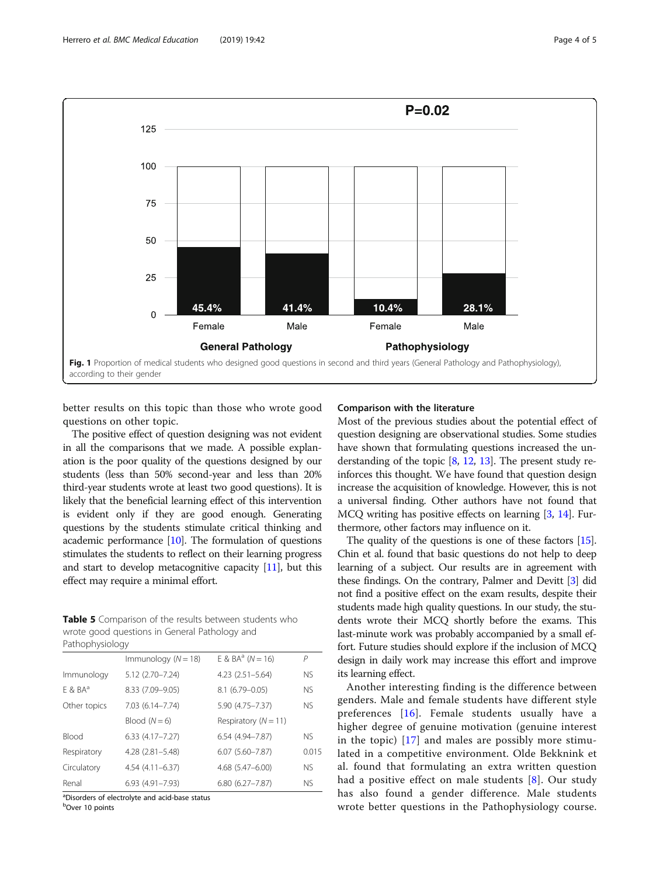<span id="page-3-0"></span>

better results on this topic than those who wrote good questions on other topic.

The positive effect of question designing was not evident in all the comparisons that we made. A possible explanation is the poor quality of the questions designed by our students (less than 50% second-year and less than 20% third-year students wrote at least two good questions). It is likely that the beneficial learning effect of this intervention is evident only if they are good enough. Generating questions by the students stimulate critical thinking and academic performance [[10](#page-4-0)]. The formulation of questions stimulates the students to reflect on their learning progress and start to develop metacognitive capacity [[11](#page-4-0)], but this effect may require a minimal effort.

Table 5 Comparison of the results between students who wrote good questions in General Pathology and Pathophysiology

|              | Immunology ( $N = 18$ ) | E & $BA^a$ ( $N = 16$ )  | P         |  |
|--------------|-------------------------|--------------------------|-----------|--|
| Immunology   | 5.12 (2.70-7.24)        | $4.23$ $(2.51 - 5.64)$   | <b>NS</b> |  |
| $F$ & $BA^a$ | 8.33 (7.09-9.05)        | 8.1 (6.79-0.05)          | <b>NS</b> |  |
| Other topics | 7.03 (6.14-7.74)        | 5.90 (4.75-7.37)         | <b>NS</b> |  |
|              | Blood $(N=6)$           | Respiratory ( $N = 11$ ) |           |  |
| Blood        | 6.33 (4.17-7.27)        | $6.54(4.94 - 7.87)$      | <b>NS</b> |  |
| Respiratory  | $4.28$ $(2.81 - 5.48)$  | $6.07(5.60 - 7.87)$      | 0.015     |  |
| Circulatory  | 4.54 (4.11-6.37)        | 4.68 (5.47-6.00)         | <b>NS</b> |  |
| Renal        | 6.93 (4.91-7.93)        | $6.80(6.27 - 7.87)$      | <b>NS</b> |  |
|              |                         |                          |           |  |

<sup>a</sup>Disorders of electrolyte and acid-base status

<sup>b</sup>Over 10 points

#### Comparison with the literature

Most of the previous studies about the potential effect of question designing are observational studies. Some studies have shown that formulating questions increased the understanding of the topic  $[8, 12, 13]$  $[8, 12, 13]$  $[8, 12, 13]$  $[8, 12, 13]$  $[8, 12, 13]$  $[8, 12, 13]$  $[8, 12, 13]$ . The present study reinforces this thought. We have found that question design increase the acquisition of knowledge. However, this is not a universal finding. Other authors have not found that MCQ writing has positive effects on learning [\[3](#page-4-0), [14](#page-4-0)]. Furthermore, other factors may influence on it.

The quality of the questions is one of these factors [[15](#page-4-0)]. Chin et al. found that basic questions do not help to deep learning of a subject. Our results are in agreement with these findings. On the contrary, Palmer and Devitt [[3\]](#page-4-0) did not find a positive effect on the exam results, despite their students made high quality questions. In our study, the students wrote their MCQ shortly before the exams. This last-minute work was probably accompanied by a small effort. Future studies should explore if the inclusion of MCQ design in daily work may increase this effort and improve its learning effect.

Another interesting finding is the difference between genders. Male and female students have different style preferences [[16\]](#page-4-0). Female students usually have a higher degree of genuine motivation (genuine interest in the topic) [[17](#page-4-0)] and males are possibly more stimulated in a competitive environment. Olde Bekknink et al. found that formulating an extra written question had a positive effect on male students [[8\]](#page-4-0). Our study has also found a gender difference. Male students wrote better questions in the Pathophysiology course.